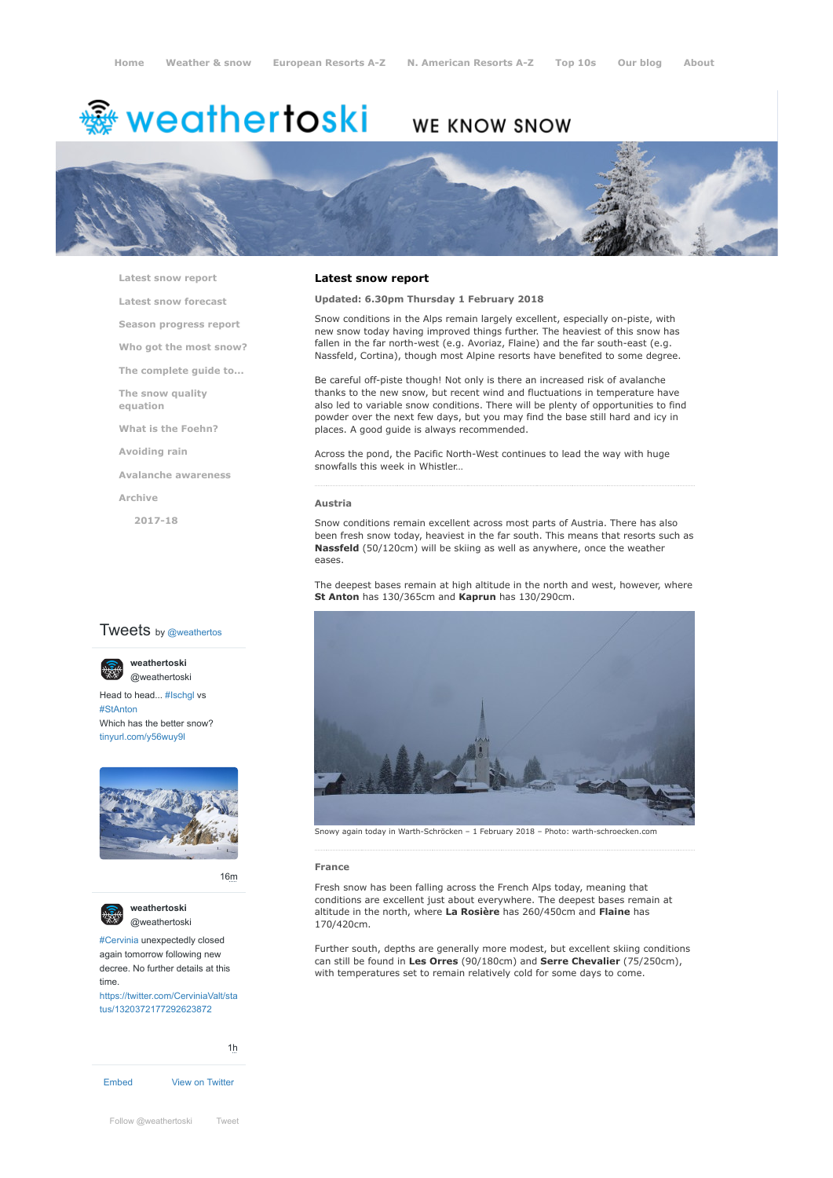# <del>灥</del> weathertoski

# WE KNOW SNOW



**[Latest snow report](https://www.weathertoski.co.uk/weather-snow/latest-snow-report/)**

**[Latest snow forecast](https://www.weathertoski.co.uk/weather-snow/latest-snow-forecast/)**

**[Season progress report](https://www.weathertoski.co.uk/weather-snow/season-progress-report/)**

- **[Who got the most snow?](https://www.weathertoski.co.uk/weather-snow/who-got-the-most-snow/)**
- **[The complete guide to...](https://www.weathertoski.co.uk/weather-snow/the-complete-guide-to/)**

**[The snow quality](https://www.weathertoski.co.uk/weather-snow/the-snow-quality-equation/) equation**

**[What is the Foehn?](https://www.weathertoski.co.uk/weather-snow/what-is-the-foehn/)**

**[Avoiding rain](https://www.weathertoski.co.uk/weather-snow/avoiding-rain/)**

**[Avalanche awareness](https://www.weathertoski.co.uk/weather-snow/avalanche-awareness/)**

**[Archive](https://www.weathertoski.co.uk/weather-snow/archive/)**

**[2017-18](https://www.weathertoski.co.uk/weather-snow/archive/2017-18/)**

# **Tweets** by @weathertos

**weathertoski**



Head to head... [#Ischgl](https://twitter.com/hashtag/Ischgl?src=hash) vs [#StAnton](https://twitter.com/hashtag/StAnton?src=hash) Which has the better snow? [tinyurl.com/y56wuy9l](https://t.co/AeKkyB0N9S)



[16m](https://twitter.com/weathertoski/status/1320387692862050304)





[#Cervinia](https://twitter.com/hashtag/Cervinia?src=hash) unexpectedly closed again tomorrow following new decree. No further details at this time.

[https://twitter.com/CerviniaValt/sta](https://twitter.com/CerviniaValt/status/1320372177292623872) tus/1320372177292623872

[Embed](https://publish.twitter.com/?url=https%3A%2F%2Ftwitter.com%2Fweathertoski) [View on Twitter](https://twitter.com/weathertoski) [1h](https://twitter.com/weathertoski/status/1320376647305093126)

# **Latest snow report**

### **Updated: 6.30pm Thursday 1 February 2018**

Snow conditions in the Alps remain largely excellent, especially on-piste, with new snow today having improved things further. The heaviest of this snow has fallen in the far north-west (e.g. Avoriaz, Flaine) and the far south-east (e.g. Nassfeld, Cortina), though most Alpine resorts have benefited to some degree.

Be careful off-piste though! Not only is there an increased risk of avalanche thanks to the new snow, but recent wind and fluctuations in temperature have also led to variable snow conditions. There will be plenty of opportunities to find powder over the next few days, but you may find the base still hard and icy in places. A good guide is always recommended.

Across the pond, the Pacific North-West continues to lead the way with huge snowfalls this week in Whistler…

# **Austria**

Snow conditions remain excellent across most parts of Austria. There has also been fresh snow today, heaviest in the far south. This means that resorts such as **Nassfeld** (50/120cm) will be skiing as well as anywhere, once the weather eases.

The deepest bases remain at high altitude in the north and west, however, where **St Anton** has 130/365cm and **Kaprun** has 130/290cm.



#### **France**

Fresh snow has been falling across the French Alps today, meaning that conditions are excellent just about everywhere. The deepest bases remain at altitude in the north, where **La Rosière** has 260/450cm and **Flaine** has 170/420cm.

Further south, depths are generally more modest, but excellent skiing conditions can still be found in **Les Orres** (90/180cm) and **Serre Chevalier** (75/250cm), with temperatures set to remain relatively cold for some days to come.

[Follow @weathertoski](https://twitter.com/intent/follow?original_referer=https%3A%2F%2Fwww.weathertoski.co.uk%2F&ref_src=twsrc%5Etfw®ion=follow_link&screen_name=weathertoski&tw_p=followbutton) [Tweet](https://twitter.com/intent/tweet?original_referer=https%3A%2F%2Fwww.weathertoski.co.uk%2F&ref_src=twsrc%5Etfw&text=Weather%20to%20ski%20-%20Snow%20report%20-%201%20February%202018&tw_p=tweetbutton&url=https%3A%2F%2Fwww.weathertoski.co.uk%2Fweather-snow%2Farchive%2Fsnow-report-1-february-2018%2F)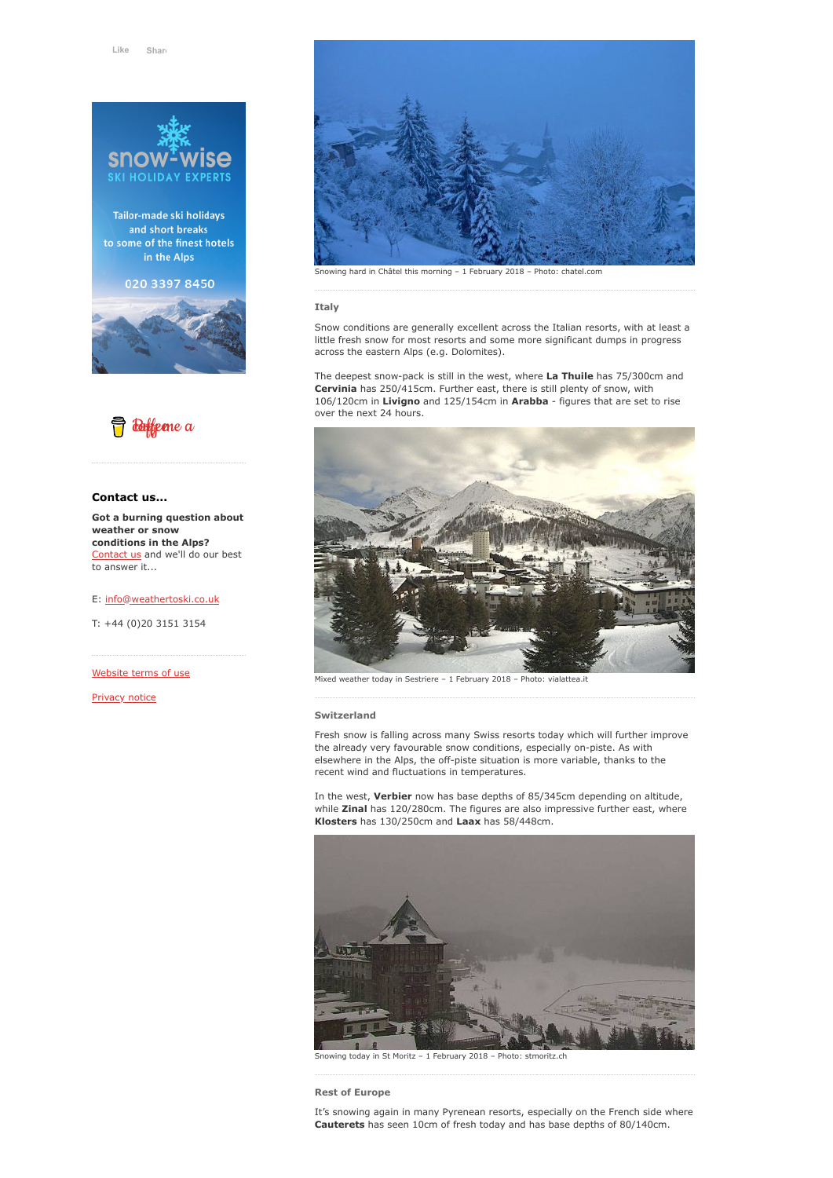

Tailor-made ski holidays and short breaks to some of the finest hotels in the Alps

020 3397 8450





# **Contact us...**

**Got a burning question about weather or snow conditions in the Alps?** [Contact us](https://www.weathertoski.co.uk/about-1/contact-us/) and we'll do our best to answer it...

E: [info@weathertoski.co.uk](mailto:fraser@weathertoski.co.uk)

T: +44 (0)20 3151 3154

[Website terms of use](https://www.weathertoski.co.uk/about-1/website-terms-of-use/)

[Privacy notice](https://www.weathertoski.co.uk/about-1/privacy-notice/)



Snowing hard in Châtel this morning – 1 February 2018 – Photo: chatel.com

#### **Italy**

Snow conditions are generally excellent across the Italian resorts, with at least a little fresh snow for most resorts and some more significant dumps in progress across the eastern Alps (e.g. Dolomites).

The deepest snow-pack is still in the west, where **La Thuile** has 75/300cm and **Cervinia** has 250/415cm. Further east, there is still plenty of snow, with 106/120cm in **Livigno** and 125/154cm in **Arabba** - figures that are set to rise over the next 24 hours.



Mixed weather today in Sestriere - 1 February 2018 - Photo: vialattea.it

**Switzerland**

Fresh snow is falling across many Swiss resorts today which will further improve the already very favourable snow conditions, especially on-piste. As with elsewhere in the Alps, the off-piste situation is more variable, thanks to the recent wind and fluctuations in temperatures.

In the west, **Verbier** now has base depths of 85/345cm depending on altitude, while **Zinal** has 120/280cm. The figures are also impressive further east, where **Klosters** has 130/250cm and **Laax** has 58/448cm.



Snowing today in St Moritz – 1 February 2018 – Photo: stmoritz.ch

**Rest of Europe**

It's snowing again in many Pyrenean resorts, especially on the French side where **Cauterets** has seen 10cm of fresh today and has base depths of 80/140cm.